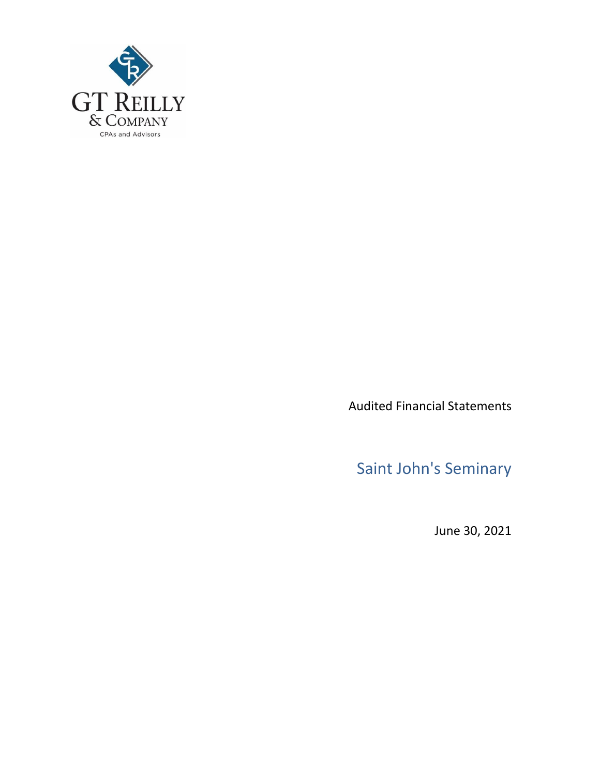

Audited Financial Statements

Saint John's Seminary

June 30, 2021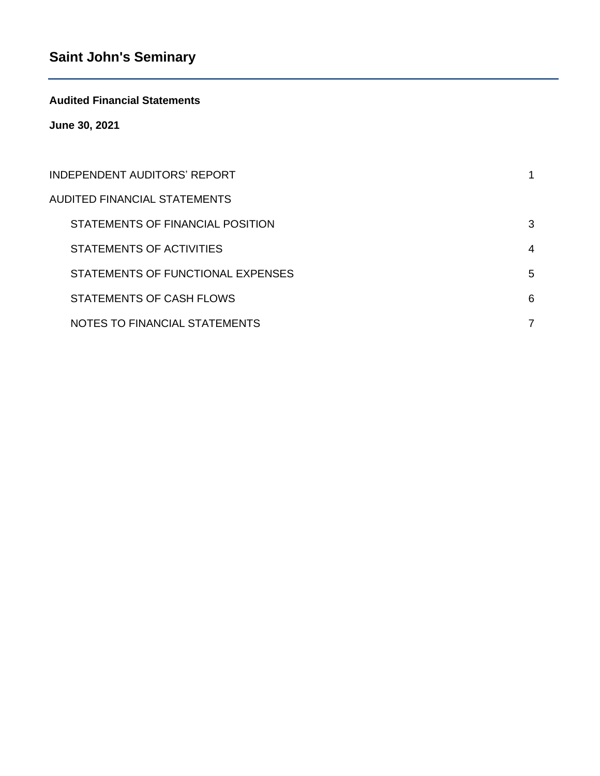# **Saint John's Seminary**

# **Audited Financial Statements**

**June 30, 2021**

| <b>INDEPENDENT AUDITORS' REPORT</b> |   |
|-------------------------------------|---|
| AUDITED FINANCIAL STATEMENTS        |   |
| STATEMENTS OF FINANCIAL POSITION    | 3 |
| STATEMENTS OF ACTIVITIES            | 4 |
| STATEMENTS OF FUNCTIONAL EXPENSES   | 5 |
| STATEMENTS OF CASH FLOWS            | 6 |
| NOTES TO FINANCIAL STATEMENTS       |   |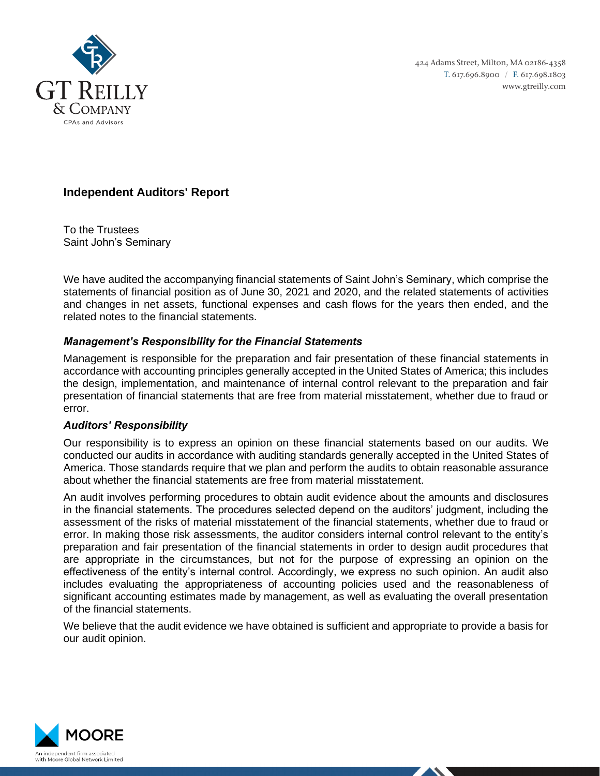

424 Adams Street, Milton, MA 02186-4358 T. 617.696.8900 / F. 617.698.1803 www.gtreilly.com

# **Independent Auditors' Report**

To the Trustees Saint John's Seminary

We have audited the accompanying financial statements of Saint John's Seminary, which comprise the statements of financial position as of June 30, 2021 and 2020, and the related statements of activities and changes in net assets, functional expenses and cash flows for the years then ended, and the related notes to the financial statements.

### *Management's Responsibility for the Financial Statements*

Management is responsible for the preparation and fair presentation of these financial statements in accordance with accounting principles generally accepted in the United States of America; this includes the design, implementation, and maintenance of internal control relevant to the preparation and fair presentation of financial statements that are free from material misstatement, whether due to fraud or error.

### *Auditors' Responsibility*

Our responsibility is to express an opinion on these financial statements based on our audits. We conducted our audits in accordance with auditing standards generally accepted in the United States of America. Those standards require that we plan and perform the audits to obtain reasonable assurance about whether the financial statements are free from material misstatement.

An audit involves performing procedures to obtain audit evidence about the amounts and disclosures in the financial statements. The procedures selected depend on the auditors' judgment, including the assessment of the risks of material misstatement of the financial statements, whether due to fraud or error. In making those risk assessments, the auditor considers internal control relevant to the entity's preparation and fair presentation of the financial statements in order to design audit procedures that are appropriate in the circumstances, but not for the purpose of expressing an opinion on the effectiveness of the entity's internal control. Accordingly, we express no such opinion. An audit also includes evaluating the appropriateness of accounting policies used and the reasonableness of significant accounting estimates made by management, as well as evaluating the overall presentation of the financial statements.

We believe that the audit evidence we have obtained is sufficient and appropriate to provide a basis for our audit opinion.



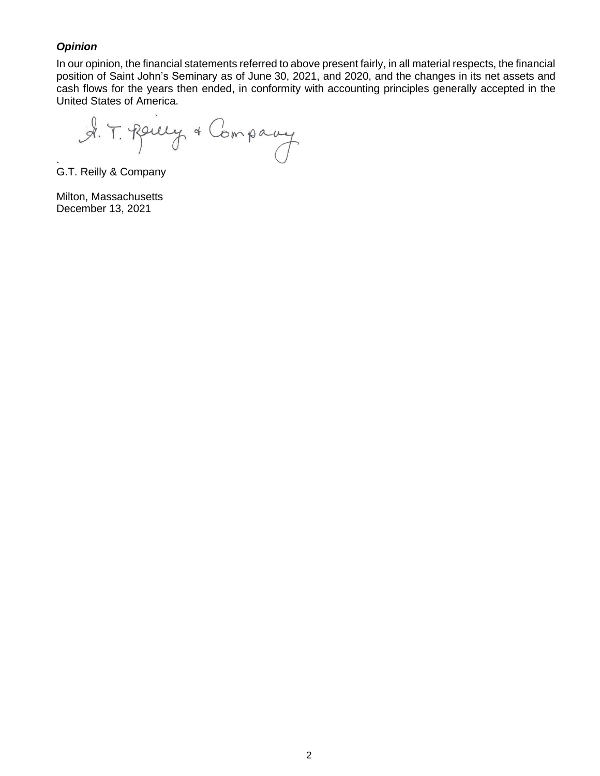# *Opinion*

.

In our opinion, the financial statements referred to above present fairly, in all material respects, the financial position of Saint John's Seminary as of June 30, 2021, and 2020, and the changes in its net assets and cash flows for the years then ended, in conformity with accounting principles generally accepted in the United States of America.

A. T. Reilly & Company

G.T. Reilly & Company

Milton, Massachusetts December 13, 2021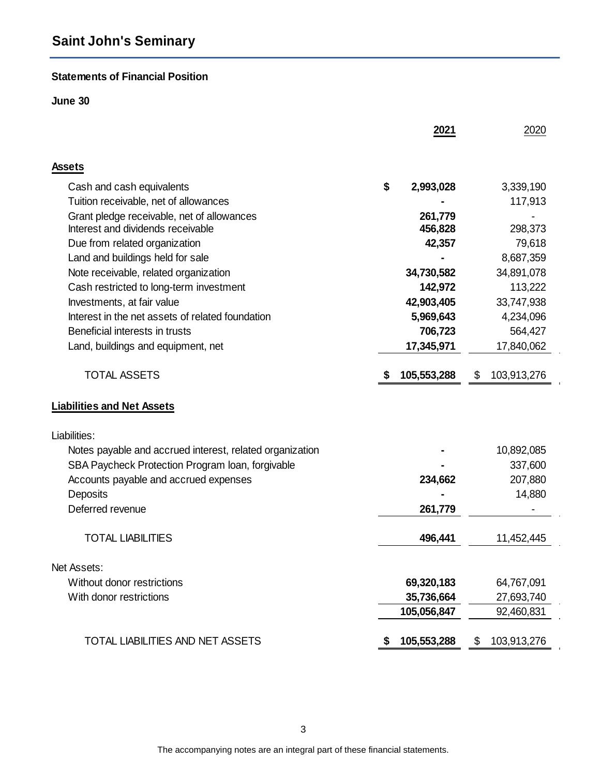### **Statements of Financial Position**

**June 30**

|                                                          | 2021                      | 2020              |
|----------------------------------------------------------|---------------------------|-------------------|
| Assets                                                   |                           |                   |
| Cash and cash equivalents                                | \$<br>2,993,028           | 3,339,190         |
| Tuition receivable, net of allowances                    |                           | 117,913           |
| Grant pledge receivable, net of allowances               | 261,779                   |                   |
| Interest and dividends receivable                        | 456,828                   | 298,373           |
| Due from related organization                            | 42,357                    | 79,618            |
| Land and buildings held for sale                         |                           | 8,687,359         |
| Note receivable, related organization                    | 34,730,582                | 34,891,078        |
| Cash restricted to long-term investment                  | 142,972                   | 113,222           |
| Investments, at fair value                               | 42,903,405                | 33,747,938        |
| Interest in the net assets of related foundation         | 5,969,643                 | 4,234,096         |
| Beneficial interests in trusts                           | 706,723                   | 564,427           |
| Land, buildings and equipment, net                       | 17,345,971                | 17,840,062        |
| <b>TOTAL ASSETS</b>                                      | 105,553,288               | \$<br>103,913,276 |
| <b>Liabilities and Net Assets</b>                        |                           |                   |
| Liabilities:                                             |                           |                   |
| Notes payable and accrued interest, related organization |                           | 10,892,085        |
| SBA Paycheck Protection Program Ioan, forgivable         |                           | 337,600           |
| Accounts payable and accrued expenses                    | 234,662                   | 207,880           |
| Deposits                                                 |                           | 14,880            |
| Deferred revenue                                         | 261,779                   |                   |
| <b>TOTAL LIABILITIES</b>                                 | 496,441                   | 11,452,445        |
|                                                          |                           |                   |
| Net Assets:                                              |                           |                   |
| Without donor restrictions                               | 69,320,183                | 64,767,091        |
| With donor restrictions                                  |                           | 27,693,740        |
|                                                          | 35,736,664<br>105,056,847 | 92,460,831        |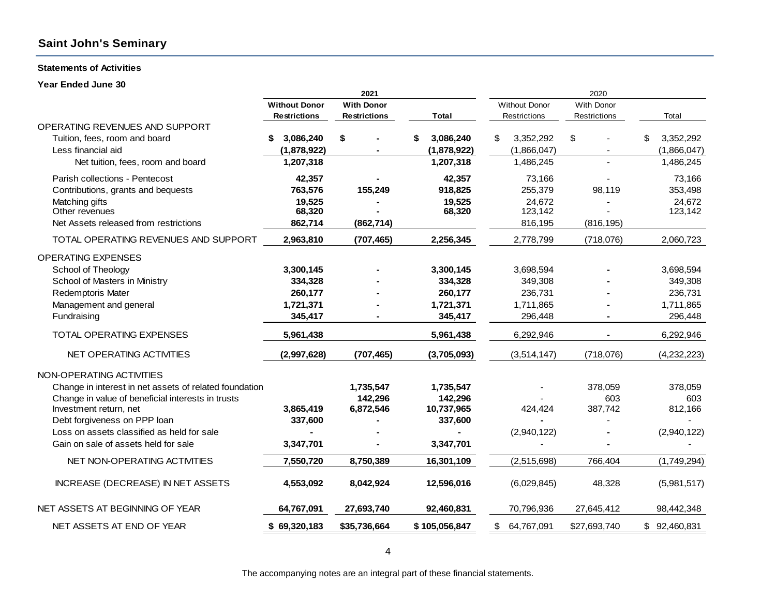# **Saint John's Seminary**

#### **Statements of Activities**

**Year Ended June 30**

|                                                        | 2021                 |                     |                 | 2020                         |                   |                 |  |
|--------------------------------------------------------|----------------------|---------------------|-----------------|------------------------------|-------------------|-----------------|--|
|                                                        | <b>Without Donor</b> | <b>With Donor</b>   |                 | <b>Without Donor</b>         | <b>With Donor</b> |                 |  |
|                                                        | <b>Restrictions</b>  | <b>Restrictions</b> | Total           | Restrictions                 | Restrictions      | Total           |  |
| OPERATING REVENUES AND SUPPORT                         |                      |                     |                 |                              |                   |                 |  |
| Tuition, fees, room and board                          | 3,086,240            | \$                  | 3,086,240<br>\$ | \$<br>3,352,292              | \$                | 3,352,292<br>\$ |  |
| Less financial aid                                     | (1,878,922)          |                     | (1,878,922)     | (1,866,047)                  |                   | (1,866,047)     |  |
| Net tuition, fees, room and board                      | 1,207,318            |                     | 1,207,318       | 1,486,245                    |                   | 1,486,245       |  |
| Parish collections - Pentecost                         | 42,357               |                     | 42,357          | 73,166                       |                   | 73,166          |  |
| Contributions, grants and bequests                     | 763,576              | 155,249             | 918,825         | 255,379                      | 98,119            | 353,498         |  |
| Matching gifts                                         | 19,525               |                     | 19,525          | 24,672                       |                   | 24,672          |  |
| Other revenues                                         | 68,320               |                     | 68,320          | 123,142                      |                   | 123,142         |  |
| Net Assets released from restrictions                  | 862,714              | (862, 714)          |                 | 816,195                      | (816, 195)        |                 |  |
| TOTAL OPERATING REVENUES AND SUPPORT                   | 2,963,810            | (707, 465)          | 2,256,345       | 2,778,799                    | (718, 076)        | 2,060,723       |  |
| <b>OPERATING EXPENSES</b>                              |                      |                     |                 |                              |                   |                 |  |
| School of Theology                                     | 3,300,145            |                     | 3,300,145       | 3,698,594                    |                   | 3,698,594       |  |
| School of Masters in Ministry                          | 334,328              |                     | 334,328         | 349,308                      |                   | 349,308         |  |
| Redemptoris Mater                                      | 260,177              |                     | 260,177         | 236,731                      |                   | 236,731         |  |
| Management and general                                 | 1,721,371            |                     | 1,721,371       | 1,711,865                    |                   | 1,711,865       |  |
| Fundraising                                            | 345,417              |                     | 345,417         | 296,448                      |                   | 296,448         |  |
| <b>TOTAL OPERATING EXPENSES</b>                        | 5,961,438            |                     | 5,961,438       | 6,292,946                    |                   | 6,292,946       |  |
| NET OPERATING ACTIVITIES                               | (2,997,628)          | (707, 465)          | (3,705,093)     | (3,514,147)                  | (718,076)         | (4,232,223)     |  |
| NON-OPERATING ACTIVITIES                               |                      |                     |                 |                              |                   |                 |  |
| Change in interest in net assets of related foundation |                      | 1,735,547           | 1,735,547       |                              | 378,059           | 378,059         |  |
| Change in value of beneficial interests in trusts      |                      | 142,296             | 142,296         |                              | 603               | 603             |  |
| Investment return, net                                 | 3,865,419            | 6,872,546           | 10,737,965      | 424,424                      | 387,742           | 812,166         |  |
| Debt forgiveness on PPP loan                           | 337,600              |                     | 337,600         |                              |                   |                 |  |
| Loss on assets classified as held for sale             |                      |                     |                 | (2,940,122)                  |                   | (2,940,122)     |  |
| Gain on sale of assets held for sale                   | 3,347,701            |                     | 3,347,701       |                              |                   |                 |  |
| NET NON-OPERATING ACTIVITIES                           | 7,550,720            | 8,750,389           | 16,301,109      | (2,515,698)                  | 766,404           | (1,749,294)     |  |
| INCREASE (DECREASE) IN NET ASSETS                      | 4,553,092            | 8,042,924           | 12,596,016      | (6,029,845)                  | 48,328            | (5,981,517)     |  |
| NET ASSETS AT BEGINNING OF YEAR                        | 64,767,091           | 27,693,740          | 92,460,831      | 70,796,936                   | 27,645,412        | 98,442,348      |  |
| NET ASSETS AT END OF YEAR                              | \$69,320,183         | \$35,736,664        | \$105,056,847   | $\mathfrak{S}$<br>64,767,091 | \$27,693,740      | \$92,460,831    |  |
|                                                        |                      |                     |                 |                              |                   |                 |  |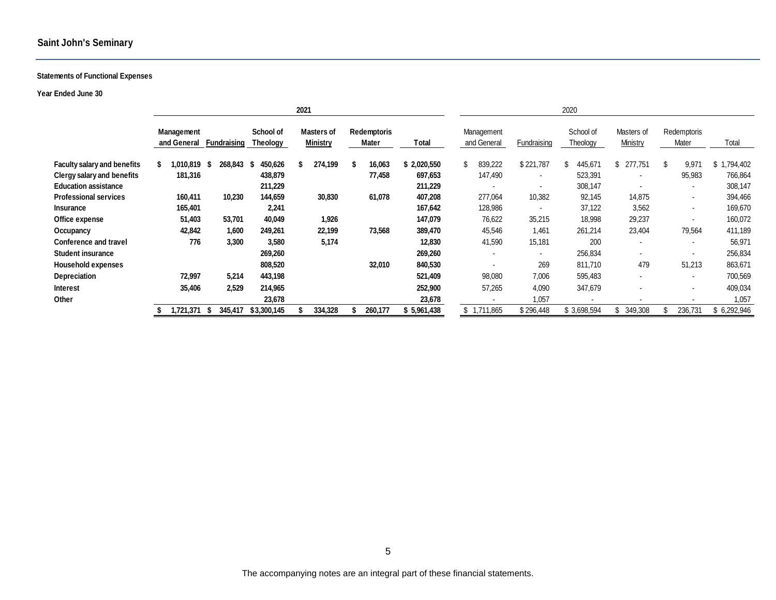### **Saint John's Seminary**

#### **Statements of Functional Expenses**

#### **Year Ended June 30**

|                                    | 2021                      |                    |                       |  |                                      |  |                      |             |                           | 2020                     |                          |                        |                      |                 |
|------------------------------------|---------------------------|--------------------|-----------------------|--|--------------------------------------|--|----------------------|-------------|---------------------------|--------------------------|--------------------------|------------------------|----------------------|-----------------|
|                                    | Management<br>and General | <b>Fundraising</b> | School of<br>Theology |  | <b>Masters of</b><br><b>Ministry</b> |  | Redemptoris<br>Mater | Total       | Management<br>and General | Fundraising              | School of<br>Theology    | Masters of<br>Ministry | Redemptoris<br>Mater | Total           |
| <b>Faculty salary and benefits</b> | .010,819                  | 268,843<br>ж       | 450,626<br>S          |  | 274.199                              |  | 16,063               | \$2,020,550 | \$<br>839,222             | \$221,787                | 445,671<br>\$.           | \$<br>277.751          | \$<br>9,971          | ,794,402<br>\$1 |
| Clergy salary and benefits         | 181,316                   |                    | 438,879               |  |                                      |  | 77,458               | 697,653     | 147.490                   | $\blacksquare$           | 523,391                  |                        | 95,983               | 766,864         |
| <b>Education assistance</b>        |                           |                    | 211,229               |  |                                      |  |                      | 211,229     | $\blacksquare$            | $\overline{\phantom{a}}$ | 308,147                  | $\blacksquare$         | $\blacksquare$       | 308,147         |
| <b>Professional services</b>       | 160.411                   | 10,230             | 144.659               |  | 30,830                               |  | 61,078               | 407,208     | 277,064                   | 10,382                   | 92,145                   | 14,875                 | $\blacksquare$       | 394,466         |
| <b>Insurance</b>                   | 165,401                   |                    | 2,241                 |  |                                      |  |                      | 167,642     | 128,986                   | ٠                        | 37,122                   | 3,562                  | $\blacksquare$       | 169,670         |
| Office expense                     | 51,403                    | 53,701             | 40,049                |  | 1,926                                |  |                      | 147,079     | 76,622                    | 35,215                   | 18,998                   | 29,237                 | $\blacksquare$       | 160,072         |
| Occupancy                          | 42,842                    | 1,600              | 249,261               |  | 22,199                               |  | 73,568               | 389,470     | 45,546                    | 1,461                    | 261,214                  | 23,404                 | 79,564               | 411,189         |
| <b>Conference and travel</b>       | 776                       | 3,300              | 3,580                 |  | 5,174                                |  |                      | 12,830      | 41,590                    | 15,181                   | 200                      |                        | $\blacksquare$       | 56,971          |
| <b>Student insurance</b>           |                           |                    | 269,260               |  |                                      |  |                      | 269,260     | $\blacksquare$            | $\blacksquare$           | 256,834                  | $\sim$                 | $\blacksquare$       | 256,834         |
| <b>Household expenses</b>          |                           |                    | 808,520               |  |                                      |  | 32,010               | 840,530     | $\blacksquare$            | 269                      | 811,710                  | 479                    | 51,213               | 863,671         |
| Depreciation                       | 72,997                    | 5,214              | 443,198               |  |                                      |  |                      | 521,409     | 98,080                    | 7,006                    | 595,483                  | $\sim$                 | $\blacksquare$       | 700,569         |
| <b>Interest</b>                    | 35,406                    | 2,529              | 214.965               |  |                                      |  |                      | 252,900     | 57,265                    | 4,090                    | 347,679                  |                        | $\blacksquare$       | 409,034         |
| Other                              |                           |                    | 23.678                |  |                                      |  |                      | 23,678      | $\blacksquare$            | 1,057                    | $\overline{\phantom{a}}$ |                        | $\blacksquare$       | 1,057           |
|                                    | 1,721,371                 | 345,417            | \$3,300,145           |  | 334,328                              |  | 260,177              | \$5,961,438 | \$1,711,865               | \$296,448                | \$3,698,594              | 349,308<br>\$          | 236,731              | \$6,292,946     |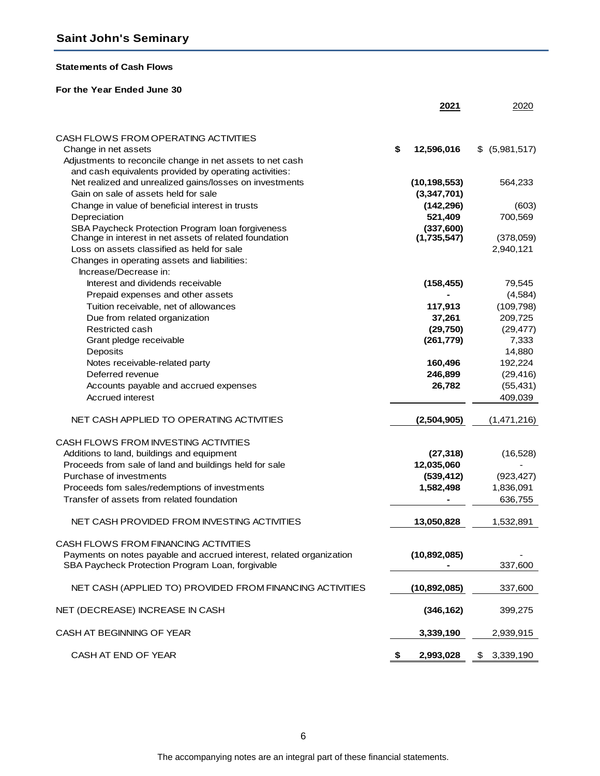#### **Statements of Cash Flows**

#### **For the Year Ended June 30**

|                                                                      | 2021             | 2020            |
|----------------------------------------------------------------------|------------------|-----------------|
|                                                                      |                  |                 |
| CASH FLOWS FROM OPERATING ACTIVITIES                                 |                  |                 |
| Change in net assets                                                 | \$<br>12,596,016 | \$ (5,981,517)  |
| Adjustments to reconcile change in net assets to net cash            |                  |                 |
| and cash equivalents provided by operating activities:               |                  |                 |
| Net realized and unrealized gains/losses on investments              | (10, 198, 553)   | 564,233         |
| Gain on sale of assets held for sale                                 | (3,347,701)      |                 |
| Change in value of beneficial interest in trusts                     | (142, 296)       | (603)           |
| Depreciation                                                         | 521,409          | 700,569         |
| SBA Paycheck Protection Program Ioan forgiveness                     | (337,600)        |                 |
| Change in interest in net assets of related foundation               | (1,735,547)      | (378,059)       |
| Loss on assets classified as held for sale                           |                  | 2,940,121       |
| Changes in operating assets and liabilities:                         |                  |                 |
| Increase/Decrease in:                                                |                  |                 |
| Interest and dividends receivable                                    | (158, 455)       | 79,545          |
| Prepaid expenses and other assets                                    |                  | (4, 584)        |
| Tuition receivable, net of allowances                                | 117,913          | (109, 798)      |
| Due from related organization                                        | 37,261           | 209,725         |
| Restricted cash                                                      | (29,750)         | (29, 477)       |
| Grant pledge receivable                                              | (261, 779)       | 7,333           |
| Deposits                                                             |                  | 14,880          |
| Notes receivable-related party                                       | 160,496          | 192,224         |
| Deferred revenue                                                     | 246,899          | (29, 416)       |
| Accounts payable and accrued expenses                                | 26,782           | (55, 431)       |
| <b>Accrued interest</b>                                              |                  | 409,039         |
| NET CASH APPLIED TO OPERATING ACTIVITIES                             | (2,504,905)      | (1,471,216)     |
| CASH FLOWS FROM INVESTING ACTIVITIES                                 |                  |                 |
| Additions to land, buildings and equipment                           | (27, 318)        | (16, 528)       |
| Proceeds from sale of land and buildings held for sale               | 12,035,060       |                 |
| Purchase of investments                                              | (539, 412)       | (923, 427)      |
| Proceeds fom sales/redemptions of investments                        | 1,582,498        | 1,836,091       |
| Transfer of assets from related foundation                           |                  | 636,755         |
|                                                                      |                  |                 |
| NET CASH PROVIDED FROM INVESTING ACTIVITIES                          | 13,050,828       | 1,532,891       |
| CASH FLOWS FROM FINANCING ACTIVITIES                                 |                  |                 |
| Payments on notes payable and accrued interest, related organization | (10,892,085)     |                 |
| SBA Paycheck Protection Program Loan, forgivable                     |                  | 337,600         |
| NET CASH (APPLIED TO) PROVIDED FROM FINANCING ACTIVITIES             | (10,892,085)     | 337,600         |
| NET (DECREASE) INCREASE IN CASH                                      | (346, 162)       | 399,275         |
| CASH AT BEGINNING OF YEAR                                            | 3,339,190        | 2,939,915       |
| CASH AT END OF YEAR                                                  | \$<br>2,993,028  | 3,339,190<br>P. |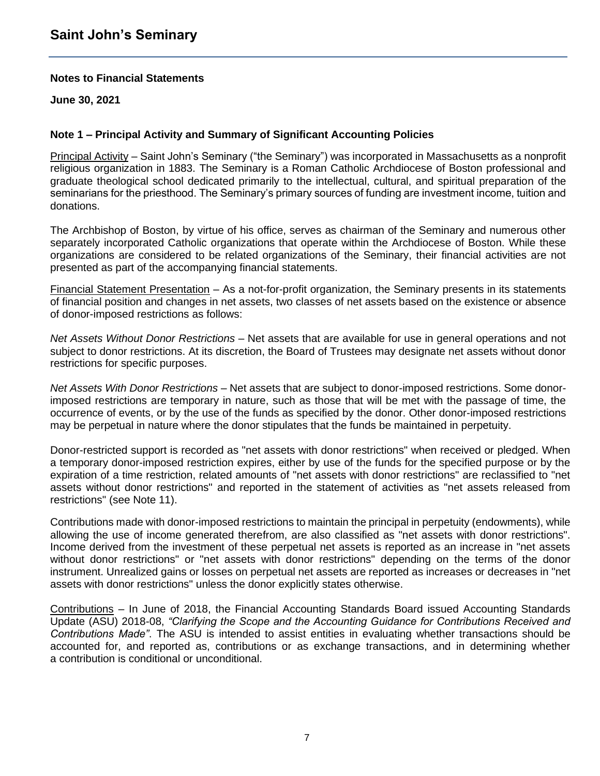### **Notes to Financial Statements**

**June 30, 2021**

# **Note 1 – Principal Activity and Summary of Significant Accounting Policies**

Principal Activity - Saint John's Seminary ("the Seminary") was incorporated in Massachusetts as a nonprofit religious organization in 1883. The Seminary is a Roman Catholic Archdiocese of Boston professional and graduate theological school dedicated primarily to the intellectual, cultural, and spiritual preparation of the seminarians for the priesthood. The Seminary's primary sources of funding are investment income, tuition and donations.

The Archbishop of Boston, by virtue of his office, serves as chairman of the Seminary and numerous other separately incorporated Catholic organizations that operate within the Archdiocese of Boston. While these organizations are considered to be related organizations of the Seminary, their financial activities are not presented as part of the accompanying financial statements.

Financial Statement Presentation – As a not-for-profit organization, the Seminary presents in its statements of financial position and changes in net assets, two classes of net assets based on the existence or absence of donor-imposed restrictions as follows:

*Net Assets Without Donor Restrictions* – Net assets that are available for use in general operations and not subject to donor restrictions. At its discretion, the Board of Trustees may designate net assets without donor restrictions for specific purposes.

*Net Assets With Donor Restrictions* – Net assets that are subject to donor-imposed restrictions. Some donorimposed restrictions are temporary in nature, such as those that will be met with the passage of time, the occurrence of events, or by the use of the funds as specified by the donor. Other donor-imposed restrictions may be perpetual in nature where the donor stipulates that the funds be maintained in perpetuity.

Donor-restricted support is recorded as "net assets with donor restrictions" when received or pledged. When a temporary donor-imposed restriction expires, either by use of the funds for the specified purpose or by the expiration of a time restriction, related amounts of "net assets with donor restrictions" are reclassified to "net assets without donor restrictions" and reported in the statement of activities as "net assets released from restrictions" (see Note 11).

Contributions made with donor-imposed restrictions to maintain the principal in perpetuity (endowments), while allowing the use of income generated therefrom, are also classified as "net assets with donor restrictions". Income derived from the investment of these perpetual net assets is reported as an increase in "net assets without donor restrictions" or "net assets with donor restrictions" depending on the terms of the donor instrument. Unrealized gains or losses on perpetual net assets are reported as increases or decreases in "net assets with donor restrictions" unless the donor explicitly states otherwise.

Contributions – In June of 2018, the Financial Accounting Standards Board issued Accounting Standards Update (ASU) 2018-08, *"Clarifying the Scope and the Accounting Guidance for Contributions Received and Contributions Made"*. The ASU is intended to assist entities in evaluating whether transactions should be accounted for, and reported as, contributions or as exchange transactions, and in determining whether a contribution is conditional or unconditional.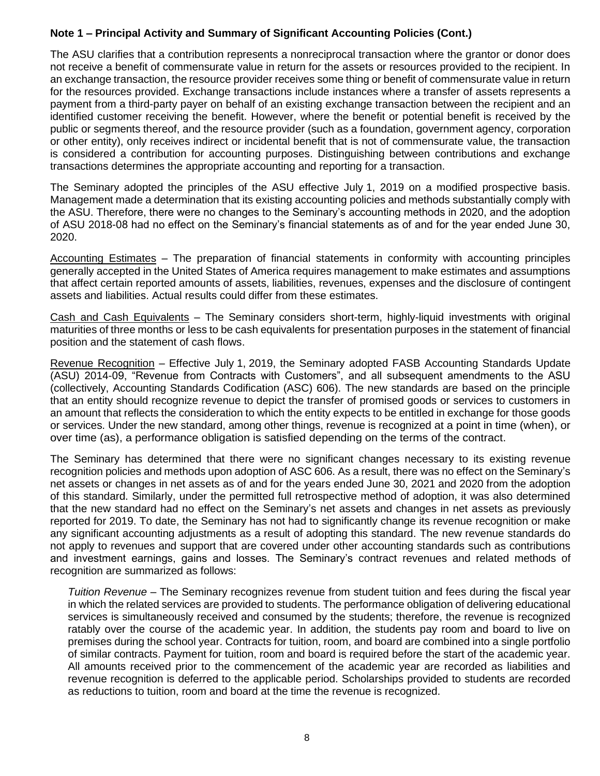### **Note 1 – Principal Activity and Summary of Significant Accounting Policies (Cont.)**

The ASU clarifies that a contribution represents a nonreciprocal transaction where the grantor or donor does not receive a benefit of commensurate value in return for the assets or resources provided to the recipient. In an exchange transaction, the resource provider receives some thing or benefit of commensurate value in return for the resources provided. Exchange transactions include instances where a transfer of assets represents a payment from a third-party payer on behalf of an existing exchange transaction between the recipient and an identified customer receiving the benefit. However, where the benefit or potential benefit is received by the public or segments thereof, and the resource provider (such as a foundation, government agency, corporation or other entity), only receives indirect or incidental benefit that is not of commensurate value, the transaction is considered a contribution for accounting purposes. Distinguishing between contributions and exchange transactions determines the appropriate accounting and reporting for a transaction.

The Seminary adopted the principles of the ASU effective July 1, 2019 on a modified prospective basis. Management made a determination that its existing accounting policies and methods substantially comply with the ASU. Therefore, there were no changes to the Seminary's accounting methods in 2020, and the adoption of ASU 2018-08 had no effect on the Seminary's financial statements as of and for the year ended June 30, 2020.

Accounting Estimates – The preparation of financial statements in conformity with accounting principles generally accepted in the United States of America requires management to make estimates and assumptions that affect certain reported amounts of assets, liabilities, revenues, expenses and the disclosure of contingent assets and liabilities. Actual results could differ from these estimates.

Cash and Cash Equivalents – The Seminary considers short-term, highly-liquid investments with original maturities of three months or less to be cash equivalents for presentation purposes in the statement of financial position and the statement of cash flows.

Revenue Recognition – Effective July 1, 2019, the Seminary adopted FASB Accounting Standards Update (ASU) 2014-09, "Revenue from Contracts with Customers", and all subsequent amendments to the ASU (collectively, Accounting Standards Codification (ASC) 606). The new standards are based on the principle that an entity should recognize revenue to depict the transfer of promised goods or services to customers in an amount that reflects the consideration to which the entity expects to be entitled in exchange for those goods or services. Under the new standard, among other things, revenue is recognized at a point in time (when), or over time (as), a performance obligation is satisfied depending on the terms of the contract.

The Seminary has determined that there were no significant changes necessary to its existing revenue recognition policies and methods upon adoption of ASC 606. As a result, there was no effect on the Seminary's net assets or changes in net assets as of and for the years ended June 30, 2021 and 2020 from the adoption of this standard. Similarly, under the permitted full retrospective method of adoption, it was also determined that the new standard had no effect on the Seminary's net assets and changes in net assets as previously reported for 2019. To date, the Seminary has not had to significantly change its revenue recognition or make any significant accounting adjustments as a result of adopting this standard. The new revenue standards do not apply to revenues and support that are covered under other accounting standards such as contributions and investment earnings, gains and losses. The Seminary's contract revenues and related methods of recognition are summarized as follows:

*Tuition Revenue* – The Seminary recognizes revenue from student tuition and fees during the fiscal year in which the related services are provided to students. The performance obligation of delivering educational services is simultaneously received and consumed by the students; therefore, the revenue is recognized ratably over the course of the academic year. In addition, the students pay room and board to live on premises during the school year. Contracts for tuition, room, and board are combined into a single portfolio of similar contracts. Payment for tuition, room and board is required before the start of the academic year. All amounts received prior to the commencement of the academic year are recorded as liabilities and revenue recognition is deferred to the applicable period. Scholarships provided to students are recorded as reductions to tuition, room and board at the time the revenue is recognized.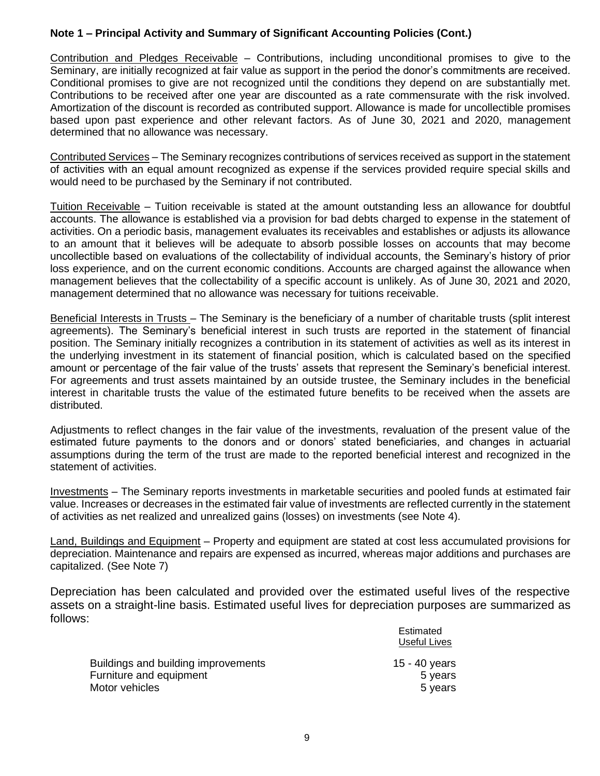### **Note 1 – Principal Activity and Summary of Significant Accounting Policies (Cont.)**

Contribution and Pledges Receivable – Contributions, including unconditional promises to give to the Seminary, are initially recognized at fair value as support in the period the donor's commitments are received. Conditional promises to give are not recognized until the conditions they depend on are substantially met. Contributions to be received after one year are discounted as a rate commensurate with the risk involved. Amortization of the discount is recorded as contributed support. Allowance is made for uncollectible promises based upon past experience and other relevant factors. As of June 30, 2021 and 2020, management determined that no allowance was necessary.

Contributed Services – The Seminary recognizes contributions of services received as support in the statement of activities with an equal amount recognized as expense if the services provided require special skills and would need to be purchased by the Seminary if not contributed.

Tuition Receivable – Tuition receivable is stated at the amount outstanding less an allowance for doubtful accounts. The allowance is established via a provision for bad debts charged to expense in the statement of activities. On a periodic basis, management evaluates its receivables and establishes or adjusts its allowance to an amount that it believes will be adequate to absorb possible losses on accounts that may become uncollectible based on evaluations of the collectability of individual accounts, the Seminary's history of prior loss experience, and on the current economic conditions. Accounts are charged against the allowance when management believes that the collectability of a specific account is unlikely. As of June 30, 2021 and 2020, management determined that no allowance was necessary for tuitions receivable.

Beneficial Interests in Trusts - The Seminary is the beneficiary of a number of charitable trusts (split interest agreements). The Seminary's beneficial interest in such trusts are reported in the statement of financial position. The Seminary initially recognizes a contribution in its statement of activities as well as its interest in the underlying investment in its statement of financial position, which is calculated based on the specified amount or percentage of the fair value of the trusts' assets that represent the Seminary's beneficial interest. For agreements and trust assets maintained by an outside trustee, the Seminary includes in the beneficial interest in charitable trusts the value of the estimated future benefits to be received when the assets are distributed.

Adjustments to reflect changes in the fair value of the investments, revaluation of the present value of the estimated future payments to the donors and or donors' stated beneficiaries, and changes in actuarial assumptions during the term of the trust are made to the reported beneficial interest and recognized in the statement of activities.

Investments – The Seminary reports investments in marketable securities and pooled funds at estimated fair value. Increases or decreases in the estimated fair value of investments are reflected currently in the statement of activities as net realized and unrealized gains (losses) on investments (see Note 4).

Land, Buildings and Equipment – Property and equipment are stated at cost less accumulated provisions for depreciation. Maintenance and repairs are expensed as incurred, whereas major additions and purchases are capitalized. (See Note 7)

Depreciation has been calculated and provided over the estimated useful lives of the respective assets on a straight-line basis. Estimated useful lives for depreciation purposes are summarized as follows:

Estimated

|                                                                                  | Estimated<br>Useful Lives           |
|----------------------------------------------------------------------------------|-------------------------------------|
| Buildings and building improvements<br>Furniture and equipment<br>Motor vehicles | 15 - 40 years<br>5 years<br>5 years |
|                                                                                  |                                     |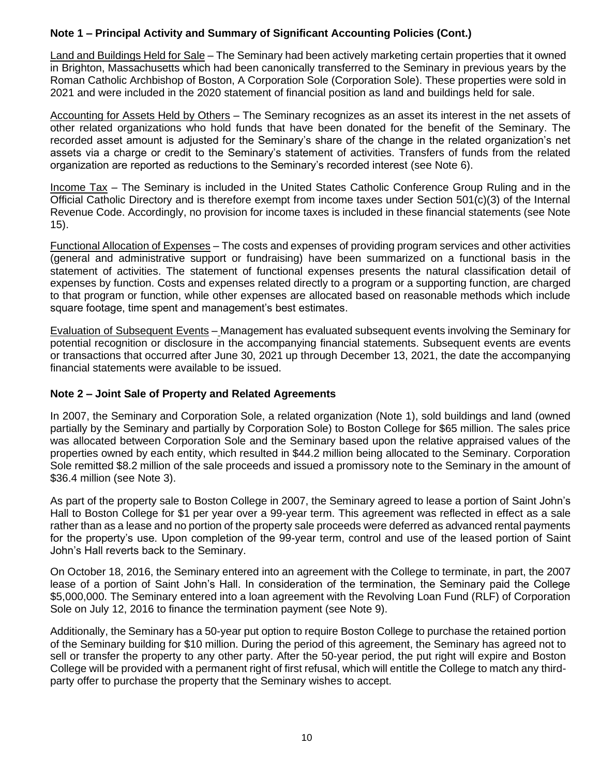## **Note 1 – Principal Activity and Summary of Significant Accounting Policies (Cont.)**

Land and Buildings Held for Sale – The Seminary had been actively marketing certain properties that it owned in Brighton, Massachusetts which had been canonically transferred to the Seminary in previous years by the Roman Catholic Archbishop of Boston, A Corporation Sole (Corporation Sole). These properties were sold in 2021 and were included in the 2020 statement of financial position as land and buildings held for sale.

Accounting for Assets Held by Others – The Seminary recognizes as an asset its interest in the net assets of other related organizations who hold funds that have been donated for the benefit of the Seminary. The recorded asset amount is adjusted for the Seminary's share of the change in the related organization's net assets via a charge or credit to the Seminary's statement of activities. Transfers of funds from the related organization are reported as reductions to the Seminary's recorded interest (see Note 6).

Income Tax – The Seminary is included in the United States Catholic Conference Group Ruling and in the Official Catholic Directory and is therefore exempt from income taxes under Section 501(c)(3) of the Internal Revenue Code. Accordingly, no provision for income taxes is included in these financial statements (see Note 15).

Functional Allocation of Expenses – The costs and expenses of providing program services and other activities (general and administrative support or fundraising) have been summarized on a functional basis in the statement of activities. The statement of functional expenses presents the natural classification detail of expenses by function. Costs and expenses related directly to a program or a supporting function, are charged to that program or function, while other expenses are allocated based on reasonable methods which include square footage, time spent and management's best estimates.

Evaluation of Subsequent Events – Management has evaluated subsequent events involving the Seminary for potential recognition or disclosure in the accompanying financial statements. Subsequent events are events or transactions that occurred after June 30, 2021 up through December 13, 2021, the date the accompanying financial statements were available to be issued.

### **Note 2 – Joint Sale of Property and Related Agreements**

In 2007, the Seminary and Corporation Sole, a related organization (Note 1), sold buildings and land (owned partially by the Seminary and partially by Corporation Sole) to Boston College for \$65 million. The sales price was allocated between Corporation Sole and the Seminary based upon the relative appraised values of the properties owned by each entity, which resulted in \$44.2 million being allocated to the Seminary. Corporation Sole remitted \$8.2 million of the sale proceeds and issued a promissory note to the Seminary in the amount of \$36.4 million (see Note 3).

As part of the property sale to Boston College in 2007, the Seminary agreed to lease a portion of Saint John's Hall to Boston College for \$1 per year over a 99-year term. This agreement was reflected in effect as a sale rather than as a lease and no portion of the property sale proceeds were deferred as advanced rental payments for the property's use. Upon completion of the 99-year term, control and use of the leased portion of Saint John's Hall reverts back to the Seminary.

On October 18, 2016, the Seminary entered into an agreement with the College to terminate, in part, the 2007 lease of a portion of Saint John's Hall. In consideration of the termination, the Seminary paid the College \$5,000,000. The Seminary entered into a loan agreement with the Revolving Loan Fund (RLF) of Corporation Sole on July 12, 2016 to finance the termination payment (see Note 9).

Additionally, the Seminary has a 50-year put option to require Boston College to purchase the retained portion of the Seminary building for \$10 million. During the period of this agreement, the Seminary has agreed not to sell or transfer the property to any other party. After the 50-year period, the put right will expire and Boston College will be provided with a permanent right of first refusal, which will entitle the College to match any thirdparty offer to purchase the property that the Seminary wishes to accept.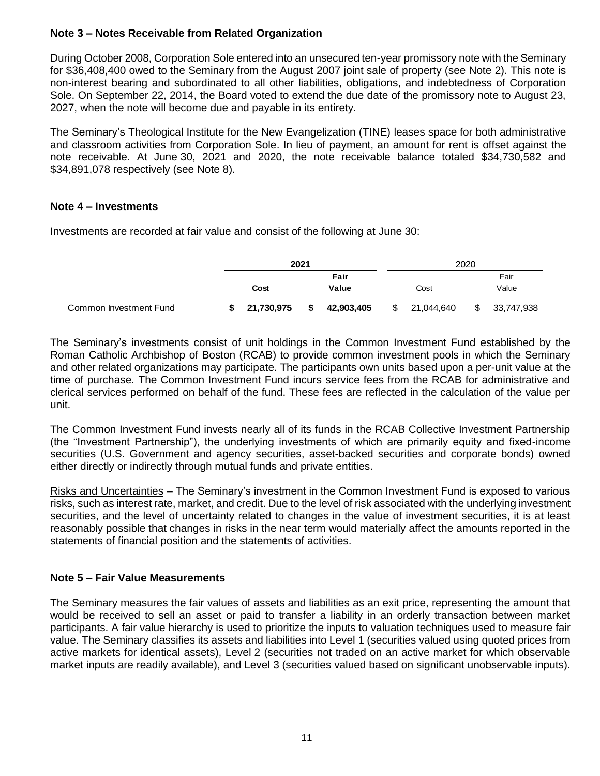### **Note 3 – Notes Receivable from Related Organization**

During October 2008, Corporation Sole entered into an unsecured ten-year promissory note with the Seminary for \$36,408,400 owed to the Seminary from the August 2007 joint sale of property (see Note 2). This note is non-interest bearing and subordinated to all other liabilities, obligations, and indebtedness of Corporation Sole. On September 22, 2014, the Board voted to extend the due date of the promissory note to August 23, 2027, when the note will become due and payable in its entirety.

The Seminary's Theological Institute for the New Evangelization (TINE) leases space for both administrative and classroom activities from Corporation Sole. In lieu of payment, an amount for rent is offset against the note receivable. At June 30, 2021 and 2020, the note receivable balance totaled \$34,730,582 and \$34,891,078 respectively (see Note 8).

### **Note 4 – Investments**

Investments are recorded at fair value and consist of the following at June 30:

|                        | 2021       |                       |            | 2020 |            |  |            |  |
|------------------------|------------|-----------------------|------------|------|------------|--|------------|--|
|                        |            | Fair<br>Value<br>Cost |            |      |            |  | Fair       |  |
|                        |            |                       |            |      | Cost       |  | Value      |  |
| Common Investment Fund | 21,730,975 | S                     | 42,903,405 |      | 21,044,640 |  | 33,747,938 |  |

The Seminary's investments consist of unit holdings in the Common Investment Fund established by the Roman Catholic Archbishop of Boston (RCAB) to provide common investment pools in which the Seminary and other related organizations may participate. The participants own units based upon a per-unit value at the time of purchase. The Common Investment Fund incurs service fees from the RCAB for administrative and clerical services performed on behalf of the fund. These fees are reflected in the calculation of the value per unit.

The Common Investment Fund invests nearly all of its funds in the RCAB Collective Investment Partnership (the "Investment Partnership"), the underlying investments of which are primarily equity and fixed-income securities (U.S. Government and agency securities, asset-backed securities and corporate bonds) owned either directly or indirectly through mutual funds and private entities.

Risks and Uncertainties – The Seminary's investment in the Common Investment Fund is exposed to various risks, such as interest rate, market, and credit. Due to the level of risk associated with the underlying investment securities, and the level of uncertainty related to changes in the value of investment securities, it is at least reasonably possible that changes in risks in the near term would materially affect the amounts reported in the statements of financial position and the statements of activities.

### **Note 5 – Fair Value Measurements**

The Seminary measures the fair values of assets and liabilities as an exit price, representing the amount that would be received to sell an asset or paid to transfer a liability in an orderly transaction between market participants. A fair value hierarchy is used to prioritize the inputs to valuation techniques used to measure fair value. The Seminary classifies its assets and liabilities into Level 1 (securities valued using quoted prices from active markets for identical assets), Level 2 (securities not traded on an active market for which observable market inputs are readily available), and Level 3 (securities valued based on significant unobservable inputs).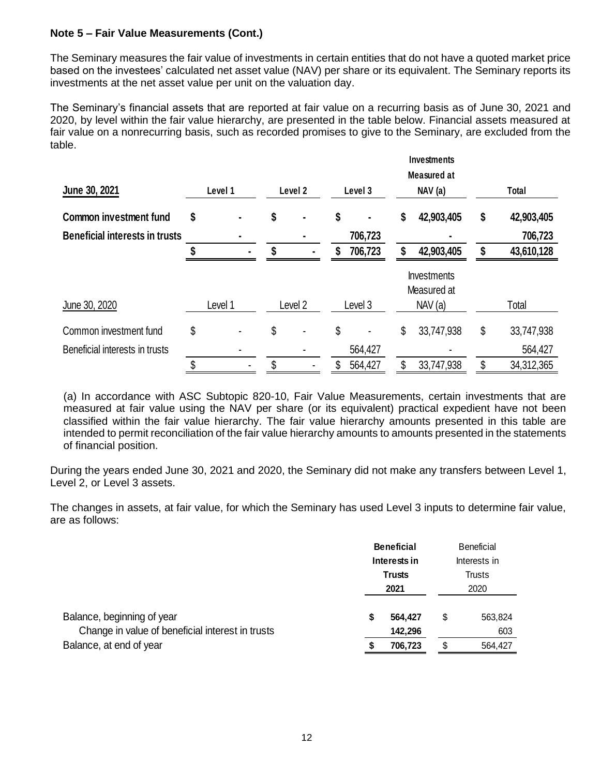### **Note 5 – Fair Value Measurements (Cont.)**

The Seminary measures the fair value of investments in certain entities that do not have a quoted market price based on the investees' calculated net asset value (NAV) per share or its equivalent. The Seminary reports its investments at the net asset value per unit on the valuation day.

The Seminary's financial assets that are reported at fair value on a recurring basis as of June 30, 2021 and 2020, by level within the fair value hierarchy, are presented in the table below. Financial assets measured at fair value on a nonrecurring basis, such as recorded promises to give to the Seminary, are excluded from the table.

|                                       |         |         |                    |         |                |         | Investments<br>Measured at |       |            |
|---------------------------------------|---------|---------|--------------------|---------|----------------|---------|----------------------------|-------|------------|
| June 30, 2021                         | Level 1 | Level 2 |                    | Level 3 |                | NAV (a) |                            | Total |            |
| <b>Common investment fund</b>         | \$      | \$      | ۰                  | \$      | $\blacksquare$ | \$      | 42,903,405                 | \$    | 42,903,405 |
| <b>Beneficial interests in trusts</b> |         |         | ٠                  |         | 706,723        |         | $\blacksquare$             |       | 706,723    |
|                                       | ٠       |         |                    | S       | 706,723        |         | 42,903,405                 |       | 43,610,128 |
|                                       |         |         |                    |         |                |         | Investments<br>Measured at |       |            |
| June 30, 2020                         | Level 1 |         | Level <sub>2</sub> |         | Level 3        |         | NAV(a)                     |       | Total      |
| Common investment fund                | \$      | \$      | $\blacksquare$     | \$      | ٠              | \$      | 33,747,938                 | \$    | 33,747,938 |
| Beneficial interests in trusts        |         |         |                    |         | 564,427        |         |                            |       | 564,427    |
|                                       |         |         |                    | \$      | 564,427        |         | 33,747,938                 |       | 34,312,365 |

(a) In accordance with ASC Subtopic 820-10, Fair Value Measurements, certain investments that are measured at fair value using the NAV per share (or its equivalent) practical expedient have not been classified within the fair value hierarchy. The fair value hierarchy amounts presented in this table are intended to permit reconciliation of the fair value hierarchy amounts to amounts presented in the statements of financial position.

During the years ended June 30, 2021 and 2020, the Seminary did not make any transfers between Level 1, Level 2, or Level 3 assets.

The changes in assets, at fair value, for which the Seminary has used Level 3 inputs to determine fair value, are as follows:

|                                                  | <b>Beneficial</b><br>Interests in<br><b>Trusts</b> |         | <b>Beneficial</b> |
|--------------------------------------------------|----------------------------------------------------|---------|-------------------|
|                                                  |                                                    |         | Interests in      |
|                                                  |                                                    |         | <b>Trusts</b>     |
|                                                  |                                                    | 2021    | 2020              |
| Balance, beginning of year                       | \$                                                 | 564.427 | \$<br>563,824     |
| Change in value of beneficial interest in trusts |                                                    | 142,296 | 603               |
| Balance, at end of year                          |                                                    | 706,723 | \$<br>564,427     |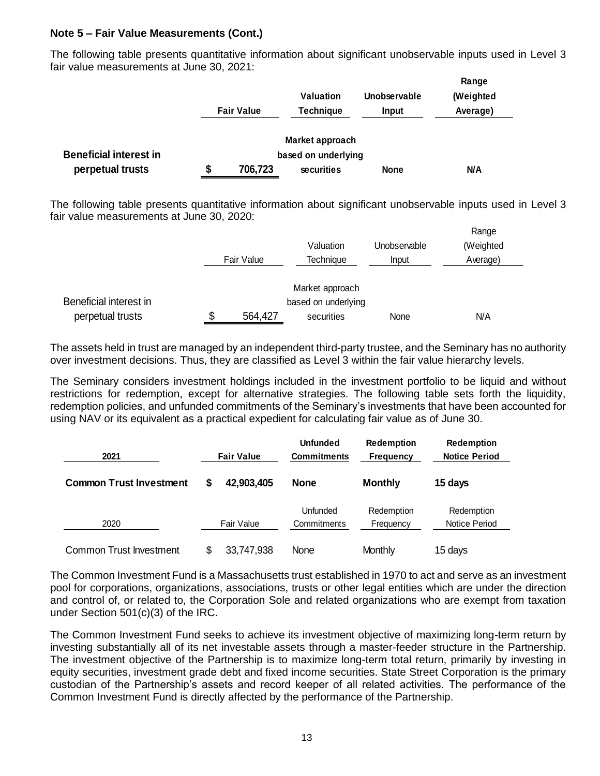#### **Note 5 – Fair Value Measurements (Cont.)**

The following table presents quantitative information about significant unobservable inputs used in Level 3 fair value measurements at June 30, 2021:

**Range**

|                               |   | <b>Fair Value</b> | Valuation<br><b>Technique</b> | Unobservable<br>Input | .<br>(Weighted<br>Average) |
|-------------------------------|---|-------------------|-------------------------------|-----------------------|----------------------------|
|                               |   |                   | Market approach               |                       |                            |
| <b>Beneficial interest in</b> |   |                   | based on underlying           |                       |                            |
| perpetual trusts              | S | 706,723           | securities                    | <b>None</b>           | <b>N/A</b>                 |

The following table presents quantitative information about significant unobservable inputs used in Level 3 fair value measurements at June 30, 2020:

|                                            | Fair Value    | Valuation<br>Technique            | Unobservable<br>Input | Range<br>(Weighted<br>Average) |
|--------------------------------------------|---------------|-----------------------------------|-----------------------|--------------------------------|
|                                            |               | Market approach                   |                       |                                |
| Beneficial interest in<br>perpetual trusts | \$<br>564,427 | based on underlying<br>securities | None                  | N/A                            |

The assets held in trust are managed by an independent third-party trustee, and the Seminary has no authority over investment decisions. Thus, they are classified as Level 3 within the fair value hierarchy levels.

The Seminary considers investment holdings included in the investment portfolio to be liquid and without restrictions for redemption, except for alternative strategies. The following table sets forth the liquidity, redemption policies, and unfunded commitments of the Seminary's investments that have been accounted for using NAV or its equivalent as a practical expedient for calculating fair value as of June 30.

| 2021                           | <b>Fair Value</b> | <b>Unfunded</b><br><b>Commitments</b> | <b>Redemption</b><br><b>Frequency</b> | <b>Redemption</b><br><b>Notice Period</b> |  |
|--------------------------------|-------------------|---------------------------------------|---------------------------------------|-------------------------------------------|--|
| <b>Common Trust Investment</b> | 42,903,405<br>S   | <b>None</b>                           | <b>Monthly</b>                        | 15 days                                   |  |
| 2020                           | Fair Value        | <b>Unfunded</b><br>Commitments        | Redemption<br>Frequency               | Redemption<br>Notice Period               |  |
| Common Trust Investment        | 33,747,938        | <b>None</b>                           | Monthly                               | 15 days                                   |  |

The Common Investment Fund is a Massachusetts trust established in 1970 to act and serve as an investment pool for corporations, organizations, associations, trusts or other legal entities which are under the direction and control of, or related to, the Corporation Sole and related organizations who are exempt from taxation under Section 501(c)(3) of the IRC.

The Common Investment Fund seeks to achieve its investment objective of maximizing long-term return by investing substantially all of its net investable assets through a master-feeder structure in the Partnership. The investment objective of the Partnership is to maximize long-term total return, primarily by investing in equity securities, investment grade debt and fixed income securities. State Street Corporation is the primary custodian of the Partnership's assets and record keeper of all related activities. The performance of the Common Investment Fund is directly affected by the performance of the Partnership.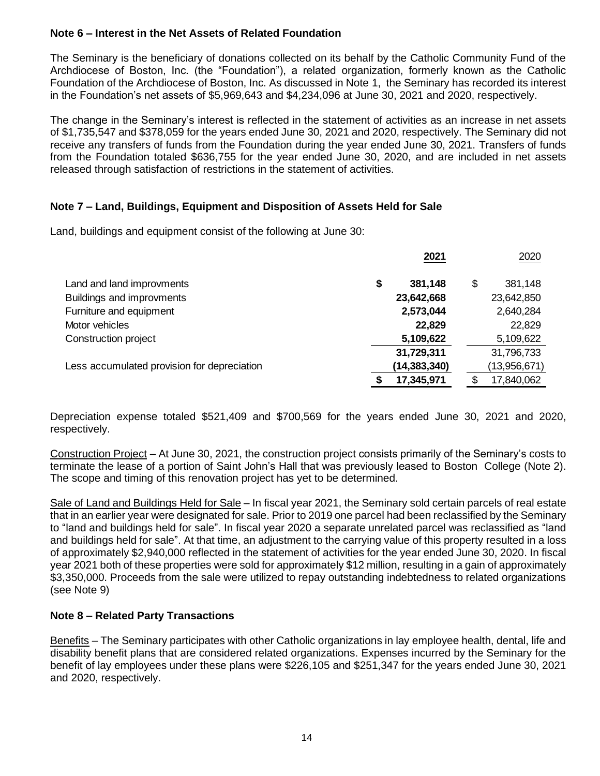### **Note 6 – Interest in the Net Assets of Related Foundation**

The Seminary is the beneficiary of donations collected on its behalf by the Catholic Community Fund of the Archdiocese of Boston, Inc. (the "Foundation"), a related organization, formerly known as the Catholic Foundation of the Archdiocese of Boston, Inc. As discussed in Note 1, the Seminary has recorded its interest in the Foundation's net assets of \$5,969,643 and \$4,234,096 at June 30, 2021 and 2020, respectively.

The change in the Seminary's interest is reflected in the statement of activities as an increase in net assets of \$1,735,547 and \$378,059 for the years ended June 30, 2021 and 2020, respectively. The Seminary did not receive any transfers of funds from the Foundation during the year ended June 30, 2021. Transfers of funds from the Foundation totaled \$636,755 for the year ended June 30, 2020, and are included in net assets released through satisfaction of restrictions in the statement of activities.

### **Note 7 – Land, Buildings, Equipment and Disposition of Assets Held for Sale**

Land, buildings and equipment consist of the following at June 30:

|                                             | 2021           | 2020          |
|---------------------------------------------|----------------|---------------|
| Land and land improvments                   | \$<br>381,148  | \$<br>381,148 |
| Buildings and improvments                   | 23,642,668     | 23,642,850    |
| Furniture and equipment                     | 2,573,044      | 2,640,284     |
| Motor vehicles                              | 22,829         | 22,829        |
| Construction project                        | 5,109,622      | 5,109,622     |
|                                             | 31,729,311     | 31,796,733    |
| Less accumulated provision for depreciation | (14, 383, 340) | (13,956,671)  |
|                                             | 17,345,971     | 17,840,062    |

Depreciation expense totaled \$521,409 and \$700,569 for the years ended June 30, 2021 and 2020, respectively.

Construction Project – At June 30, 2021, the construction project consists primarily of the Seminary's costs to terminate the lease of a portion of Saint John's Hall that was previously leased to Boston College (Note 2). The scope and timing of this renovation project has yet to be determined.

Sale of Land and Buildings Held for Sale – In fiscal year 2021, the Seminary sold certain parcels of real estate that in an earlier year were designated for sale. Prior to 2019 one parcel had been reclassified by the Seminary to "land and buildings held for sale". In fiscal year 2020 a separate unrelated parcel was reclassified as "land and buildings held for sale". At that time, an adjustment to the carrying value of this property resulted in a loss of approximately \$2,940,000 reflected in the statement of activities for the year ended June 30, 2020. In fiscal year 2021 both of these properties were sold for approximately \$12 million, resulting in a gain of approximately \$3,350,000. Proceeds from the sale were utilized to repay outstanding indebtedness to related organizations (see Note 9)

### **Note 8 – Related Party Transactions**

Benefits – The Seminary participates with other Catholic organizations in lay employee health, dental, life and disability benefit plans that are considered related organizations. Expenses incurred by the Seminary for the benefit of lay employees under these plans were \$226,105 and \$251,347 for the years ended June 30, 2021 and 2020, respectively.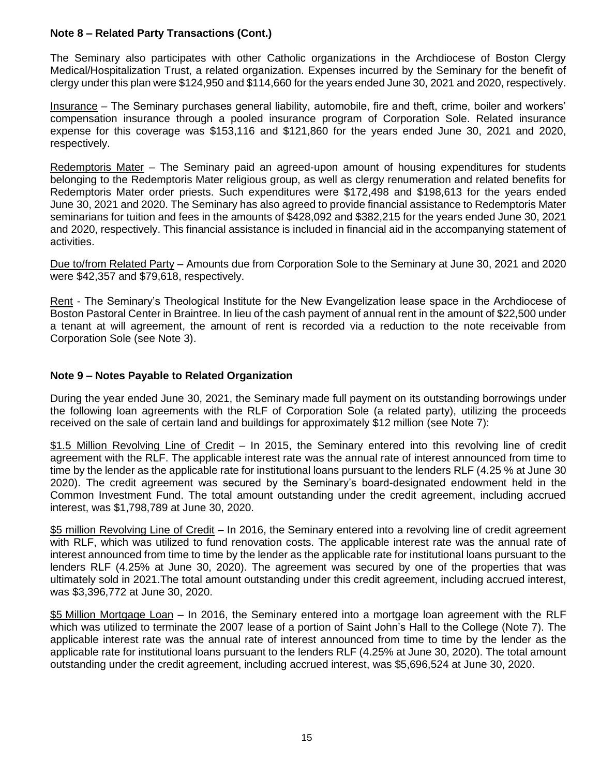### **Note 8 – Related Party Transactions (Cont.)**

The Seminary also participates with other Catholic organizations in the Archdiocese of Boston Clergy Medical/Hospitalization Trust, a related organization. Expenses incurred by the Seminary for the benefit of clergy under this plan were \$124,950 and \$114,660 for the years ended June 30, 2021 and 2020, respectively.

Insurance – The Seminary purchases general liability, automobile, fire and theft, crime, boiler and workers' compensation insurance through a pooled insurance program of Corporation Sole. Related insurance expense for this coverage was \$153,116 and \$121,860 for the years ended June 30, 2021 and 2020, respectively.

Redemptoris Mater – The Seminary paid an agreed-upon amount of housing expenditures for students belonging to the Redemptoris Mater religious group, as well as clergy renumeration and related benefits for Redemptoris Mater order priests. Such expenditures were \$172,498 and \$198,613 for the years ended June 30, 2021 and 2020. The Seminary has also agreed to provide financial assistance to Redemptoris Mater seminarians for tuition and fees in the amounts of \$428,092 and \$382,215 for the years ended June 30, 2021 and 2020, respectively. This financial assistance is included in financial aid in the accompanying statement of activities.

Due to/from Related Party – Amounts due from Corporation Sole to the Seminary at June 30, 2021 and 2020 were \$42,357 and \$79,618, respectively.

Rent - The Seminary's Theological Institute for the New Evangelization lease space in the Archdiocese of Boston Pastoral Center in Braintree. In lieu of the cash payment of annual rent in the amount of \$22,500 under a tenant at will agreement, the amount of rent is recorded via a reduction to the note receivable from Corporation Sole (see Note 3).

### **Note 9 – Notes Payable to Related Organization**

During the year ended June 30, 2021, the Seminary made full payment on its outstanding borrowings under the following loan agreements with the RLF of Corporation Sole (a related party), utilizing the proceeds received on the sale of certain land and buildings for approximately \$12 million (see Note 7):

\$1.5 Million Revolving Line of Credit - In 2015, the Seminary entered into this revolving line of credit agreement with the RLF. The applicable interest rate was the annual rate of interest announced from time to time by the lender as the applicable rate for institutional loans pursuant to the lenders RLF (4.25 % at June 30 2020). The credit agreement was secured by the Seminary's board-designated endowment held in the Common Investment Fund. The total amount outstanding under the credit agreement, including accrued interest, was \$1,798,789 at June 30, 2020.

\$5 million Revolving Line of Credit – In 2016, the Seminary entered into a revolving line of credit agreement with RLF, which was utilized to fund renovation costs. The applicable interest rate was the annual rate of interest announced from time to time by the lender as the applicable rate for institutional loans pursuant to the lenders RLF (4.25% at June 30, 2020). The agreement was secured by one of the properties that was ultimately sold in 2021.The total amount outstanding under this credit agreement, including accrued interest, was \$3,396,772 at June 30, 2020.

\$5 Million Mortgage Loan – In 2016, the Seminary entered into a mortgage loan agreement with the RLF which was utilized to terminate the 2007 lease of a portion of Saint John's Hall to the College (Note 7). The applicable interest rate was the annual rate of interest announced from time to time by the lender as the applicable rate for institutional loans pursuant to the lenders RLF (4.25% at June 30, 2020). The total amount outstanding under the credit agreement, including accrued interest, was \$5,696,524 at June 30, 2020.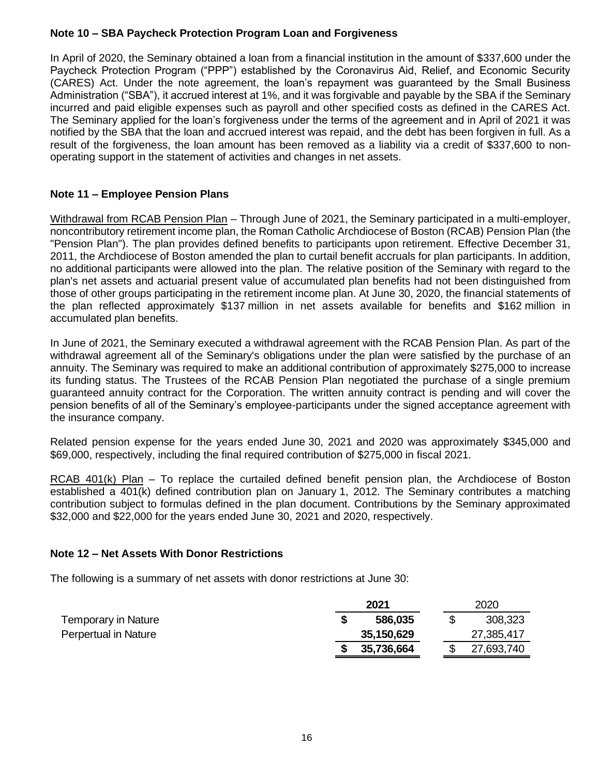### **Note 10 – SBA Paycheck Protection Program Loan and Forgiveness**

In April of 2020, the Seminary obtained a loan from a financial institution in the amount of \$337,600 under the Paycheck Protection Program ("PPP") established by the Coronavirus Aid, Relief, and Economic Security (CARES) Act. Under the note agreement, the loan's repayment was guaranteed by the Small Business Administration ("SBA"), it accrued interest at 1%, and it was forgivable and payable by the SBA if the Seminary incurred and paid eligible expenses such as payroll and other specified costs as defined in the CARES Act. The Seminary applied for the loan's forgiveness under the terms of the agreement and in April of 2021 it was notified by the SBA that the loan and accrued interest was repaid, and the debt has been forgiven in full. As a result of the forgiveness, the loan amount has been removed as a liability via a credit of \$337,600 to nonoperating support in the statement of activities and changes in net assets.

# **Note 11 – Employee Pension Plans**

Withdrawal from RCAB Pension Plan – Through June of 2021, the Seminary participated in a multi-employer, noncontributory retirement income plan, the Roman Catholic Archdiocese of Boston (RCAB) Pension Plan (the "Pension Plan"). The plan provides defined benefits to participants upon retirement. Effective December 31, 2011, the Archdiocese of Boston amended the plan to curtail benefit accruals for plan participants. In addition, no additional participants were allowed into the plan. The relative position of the Seminary with regard to the plan's net assets and actuarial present value of accumulated plan benefits had not been distinguished from those of other groups participating in the retirement income plan. At June 30, 2020, the financial statements of the plan reflected approximately \$137 million in net assets available for benefits and \$162 million in accumulated plan benefits.

In June of 2021, the Seminary executed a withdrawal agreement with the RCAB Pension Plan. As part of the withdrawal agreement all of the Seminary's obligations under the plan were satisfied by the purchase of an annuity. The Seminary was required to make an additional contribution of approximately \$275,000 to increase its funding status. The Trustees of the RCAB Pension Plan negotiated the purchase of a single premium guaranteed annuity contract for the Corporation. The written annuity contract is pending and will cover the pension benefits of all of the Seminary's employee-participants under the signed acceptance agreement with the insurance company.

Related pension expense for the years ended June 30, 2021 and 2020 was approximately \$345,000 and \$69,000, respectively, including the final required contribution of \$275,000 in fiscal 2021.

RCAB 401(k) Plan – To replace the curtailed defined benefit pension plan, the Archdiocese of Boston established a 401(k) defined contribution plan on January 1, 2012. The Seminary contributes a matching contribution subject to formulas defined in the plan document. Contributions by the Seminary approximated \$32,000 and \$22,000 for the years ended June 30, 2021 and 2020, respectively.

### **Note 12 – Net Assets With Donor Restrictions**

The following is a summary of net assets with donor restrictions at June 30:

|                             | 2021       | 2020          |  |
|-----------------------------|------------|---------------|--|
| <b>Temporary in Nature</b>  | 586,035    | \$<br>308,323 |  |
| <b>Perpertual in Nature</b> | 35,150,629 | 27,385,417    |  |
|                             | 35,736,664 | 27,693,740    |  |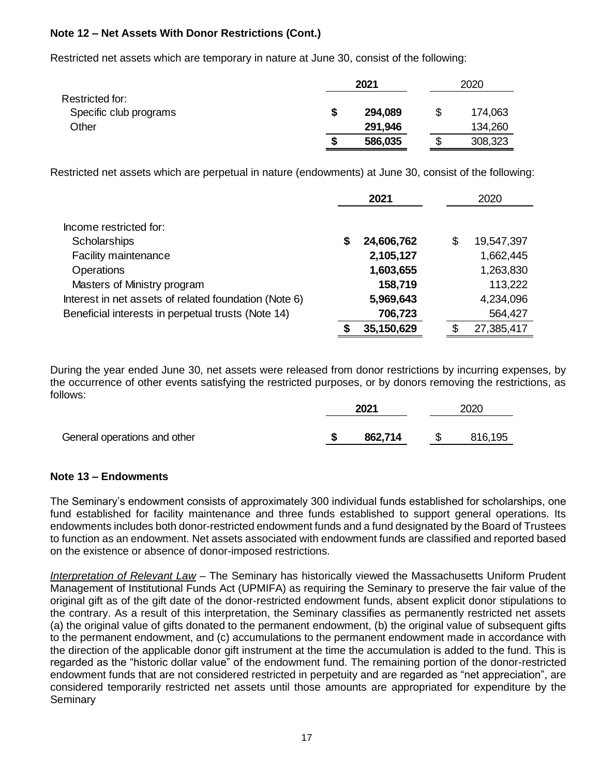# **Note 12 – Net Assets With Donor Restrictions (Cont.)**

Restricted net assets which are temporary in nature at June 30, consist of the following:

|                        | 2021    | 2020 |         |
|------------------------|---------|------|---------|
| Restricted for:        |         |      |         |
| Specific club programs | 294,089 | S    | 174,063 |
| Other                  | 291,946 |      | 134,260 |
|                        | 586,035 | \$   | 308,323 |

Restricted net assets which are perpetual in nature (endowments) at June 30, consist of the following:

|                                                       | 2021 |            | 2020             |
|-------------------------------------------------------|------|------------|------------------|
| Income restricted for:                                |      |            |                  |
| <b>Scholarships</b>                                   | S    | 24,606,762 | \$<br>19,547,397 |
| Facility maintenance                                  |      | 2,105,127  | 1,662,445        |
| <b>Operations</b>                                     |      | 1,603,655  | 1,263,830        |
| Masters of Ministry program                           |      | 158,719    | 113,222          |
| Interest in net assets of related foundation (Note 6) |      | 5,969,643  | 4,234,096        |
| Beneficial interests in perpetual trusts (Note 14)    |      | 706,723    | 564,427          |
|                                                       |      | 35,150,629 | \$<br>27,385,417 |

During the year ended June 30, net assets were released from donor restrictions by incurring expenses, by the occurrence of other events satisfying the restricted purposes, or by donors removing the restrictions, as follows:

|                              | 2021 |         | 2020 |         |
|------------------------------|------|---------|------|---------|
| General operations and other |      | 862,714 | \$   | 816,195 |

### **Note 13 – Endowments**

The Seminary's endowment consists of approximately 300 individual funds established for scholarships, one fund established for facility maintenance and three funds established to support general operations. Its endowments includes both donor-restricted endowment funds and a fund designated by the Board of Trustees to function as an endowment. Net assets associated with endowment funds are classified and reported based on the existence or absence of donor-imposed restrictions.

*Interpretation of Relevant Law –* The Seminary has historically viewed the Massachusetts Uniform Prudent Management of Institutional Funds Act (UPMIFA) as requiring the Seminary to preserve the fair value of the original gift as of the gift date of the donor-restricted endowment funds, absent explicit donor stipulations to the contrary. As a result of this interpretation, the Seminary classifies as permanently restricted net assets (a) the original value of gifts donated to the permanent endowment, (b) the original value of subsequent gifts to the permanent endowment, and (c) accumulations to the permanent endowment made in accordance with the direction of the applicable donor gift instrument at the time the accumulation is added to the fund. This is regarded as the "historic dollar value" of the endowment fund. The remaining portion of the donor-restricted endowment funds that are not considered restricted in perpetuity and are regarded as "net appreciation", are considered temporarily restricted net assets until those amounts are appropriated for expenditure by the **Seminary**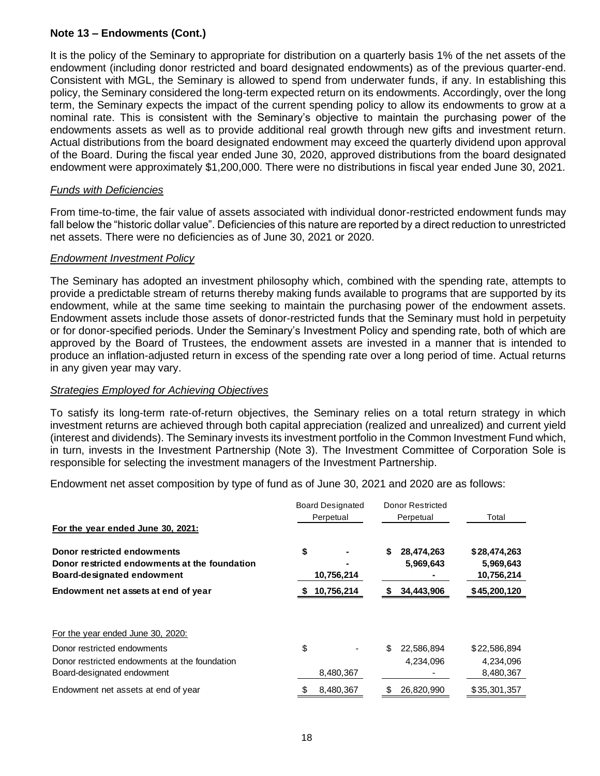### **Note 13 – Endowments (Cont.)**

It is the policy of the Seminary to appropriate for distribution on a quarterly basis 1% of the net assets of the endowment (including donor restricted and board designated endowments) as of the previous quarter-end. Consistent with MGL, the Seminary is allowed to spend from underwater funds, if any. In establishing this policy, the Seminary considered the long-term expected return on its endowments. Accordingly, over the long term, the Seminary expects the impact of the current spending policy to allow its endowments to grow at a nominal rate. This is consistent with the Seminary's objective to maintain the purchasing power of the endowments assets as well as to provide additional real growth through new gifts and investment return. Actual distributions from the board designated endowment may exceed the quarterly dividend upon approval of the Board. During the fiscal year ended June 30, 2020, approved distributions from the board designated endowment were approximately \$1,200,000. There were no distributions in fiscal year ended June 30, 2021.

#### *Funds with Deficiencies*

From time-to-time, the fair value of assets associated with individual donor-restricted endowment funds may fall below the "historic dollar value". Deficiencies of this nature are reported by a direct reduction to unrestricted net assets. There were no deficiencies as of June 30, 2021 or 2020.

#### *Endowment Investment Policy*

The Seminary has adopted an investment philosophy which, combined with the spending rate, attempts to provide a predictable stream of returns thereby making funds available to programs that are supported by its endowment, while at the same time seeking to maintain the purchasing power of the endowment assets. Endowment assets include those assets of donor-restricted funds that the Seminary must hold in perpetuity or for donor-specified periods. Under the Seminary's Investment Policy and spending rate, both of which are approved by the Board of Trustees, the endowment assets are invested in a manner that is intended to produce an inflation-adjusted return in excess of the spending rate over a long period of time. Actual returns in any given year may vary.

#### *Strategies Employed for Achieving Objectives*

To satisfy its long-term rate-of-return objectives, the Seminary relies on a total return strategy in which investment returns are achieved through both capital appreciation (realized and unrealized) and current yield (interest and dividends). The Seminary invests its investment portfolio in the Common Investment Fund which, in turn, invests in the Investment Partnership (Note 3). The Investment Committee of Corporation Sole is responsible for selecting the investment managers of the Investment Partnership.

Endowment net asset composition by type of fund as of June 30, 2021 and 2020 are as follows:

| For the year ended June 30, 2021:                                                                          | <b>Board Designated</b><br>Perpetual |    | Donor Restricted<br>Perpetual | Total                                   |  |
|------------------------------------------------------------------------------------------------------------|--------------------------------------|----|-------------------------------|-----------------------------------------|--|
| Donor restricted endowments<br>Donor restricted endowments at the foundation<br>Board-designated endowment | \$<br>10,756,214                     |    | 28,474,263<br>5,969,643       | \$28,474,263<br>5,969,643<br>10,756,214 |  |
| Endowment net assets at end of year                                                                        | 10,756,214                           |    | 34,443,906                    | \$45,200,120                            |  |
| For the year ended June 30, 2020:                                                                          |                                      |    |                               |                                         |  |
| Donor restricted endowments                                                                                | \$                                   | S. | 22,586,894                    | \$22,586,894                            |  |
| Donor restricted endowments at the foundation                                                              |                                      |    | 4,234,096                     | 4,234,096                               |  |
| Board-designated endowment                                                                                 | 8,480,367                            |    |                               | 8,480,367                               |  |
| Endowment net assets at end of year                                                                        | 8,480,367                            |    | 26,820,990                    | \$35,301,357                            |  |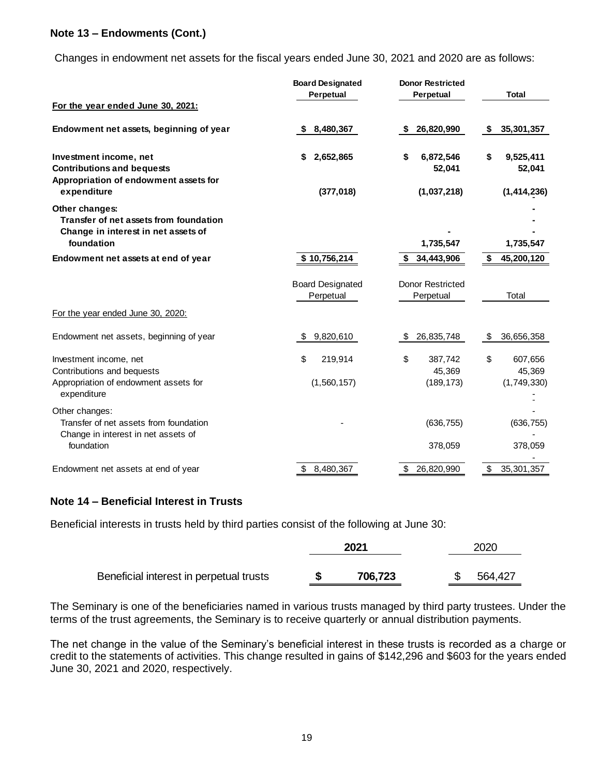### **Note 13 – Endowments (Cont.)**

Changes in endowment net assets for the fiscal years ended June 30, 2021 and 2020 are as follows:

|                                                                                                               | <b>Board Designated</b><br>Perpetual | <b>Donor Restricted</b><br>Perpetual  | <b>Total</b>                           |
|---------------------------------------------------------------------------------------------------------------|--------------------------------------|---------------------------------------|----------------------------------------|
| For the year ended June 30, 2021:                                                                             |                                      |                                       |                                        |
| Endowment net assets, beginning of year                                                                       | 8,480,367<br>S.                      | 26,820,990<br>\$                      | 35,301,357<br>\$                       |
| Investment income, net<br><b>Contributions and bequests</b><br>Appropriation of endowment assets for          | 2,652,865<br>\$                      | \$<br>6,872,546<br>52,041             | \$<br>9,525,411<br>52,041              |
| expenditure                                                                                                   | (377, 018)                           | (1,037,218)                           | (1, 414, 236)                          |
| Other changes:<br>Transfer of net assets from foundation<br>Change in interest in net assets of<br>foundation |                                      | 1,735,547                             | 1,735,547                              |
| Endowment net assets at end of year                                                                           | \$10,756,214                         | 34,443,906<br>\$                      | \$<br>45,200,120                       |
| For the year ended June 30, 2020:                                                                             | <b>Board Designated</b><br>Perpetual | <b>Donor Restricted</b><br>Perpetual  | Total                                  |
| Endowment net assets, beginning of year                                                                       | 9,820,610<br>S.                      | 26,835,748<br>\$                      | \$<br>36,656,358                       |
| Investment income, net<br>Contributions and bequests<br>Appropriation of endowment assets for<br>expenditure  | \$<br>219,914<br>(1,560,157)         | \$<br>387,742<br>45,369<br>(189, 173) | \$<br>607,656<br>45,369<br>(1,749,330) |
| Other changes:<br>Transfer of net assets from foundation<br>Change in interest in net assets of<br>foundation |                                      | (636, 755)<br>378,059                 | (636, 755)<br>378,059                  |
| Endowment net assets at end of year                                                                           | 8,480,367<br>\$                      | 26,820,990<br>\$                      | \$<br>35, 301, 357                     |

### **Note 14 – Beneficial Interest in Trusts**

Beneficial interests in trusts held by third parties consist of the following at June 30:

|                                         | 2021 |         | 2020    |  |
|-----------------------------------------|------|---------|---------|--|
| Beneficial interest in perpetual trusts |      | 706,723 | 564,427 |  |

The Seminary is one of the beneficiaries named in various trusts managed by third party trustees. Under the terms of the trust agreements, the Seminary is to receive quarterly or annual distribution payments.

The net change in the value of the Seminary's beneficial interest in these trusts is recorded as a charge or credit to the statements of activities. This change resulted in gains of \$142,296 and \$603 for the years ended June 30, 2021 and 2020, respectively.